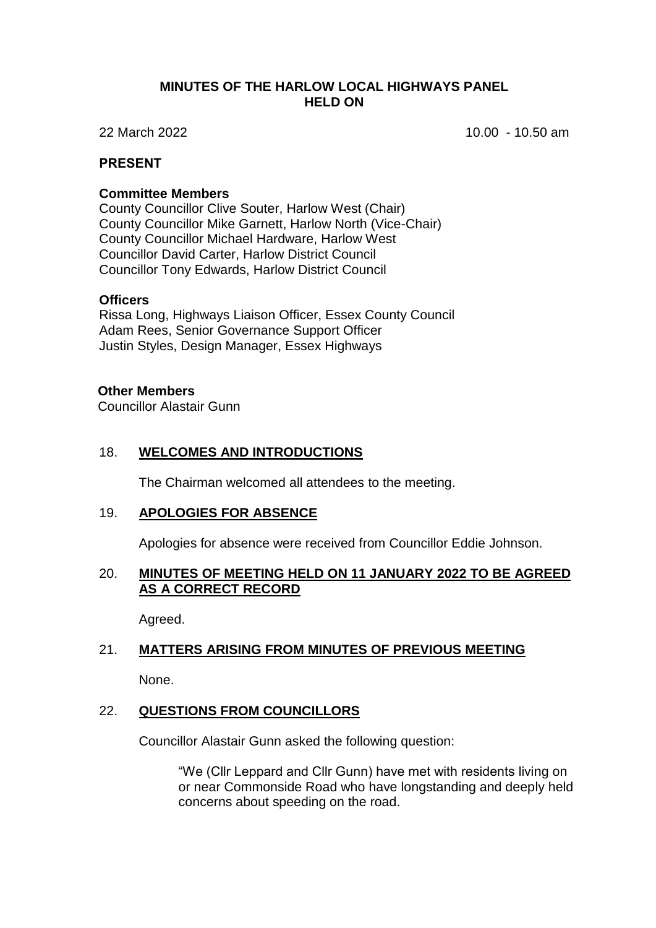#### **MINUTES OF THE HARLOW LOCAL HIGHWAYS PANEL HELD ON**

22 March 2022 10.00 - 10.50 am

### **PRESENT**

#### **Committee Members**

County Councillor Clive Souter, Harlow West (Chair) County Councillor Mike Garnett, Harlow North (Vice-Chair) County Councillor Michael Hardware, Harlow West Councillor David Carter, Harlow District Council Councillor Tony Edwards, Harlow District Council

#### **Officers**

Rissa Long, Highways Liaison Officer, Essex County Council Adam Rees, Senior Governance Support Officer Justin Styles, Design Manager, Essex Highways

## **Other Members**

Councillor Alastair Gunn

## 18. **WELCOMES AND INTRODUCTIONS**

The Chairman welcomed all attendees to the meeting.

## 19. **APOLOGIES FOR ABSENCE**

Apologies for absence were received from Councillor Eddie Johnson.

#### 20. **MINUTES OF MEETING HELD ON 11 JANUARY 2022 TO BE AGREED AS A CORRECT RECORD**

Agreed.

## 21. **MATTERS ARISING FROM MINUTES OF PREVIOUS MEETING**

None.

## 22. **QUESTIONS FROM COUNCILLORS**

Councillor Alastair Gunn asked the following question:

"We (Cllr Leppard and Cllr Gunn) have met with residents living on or near Commonside Road who have longstanding and deeply held concerns about speeding on the road.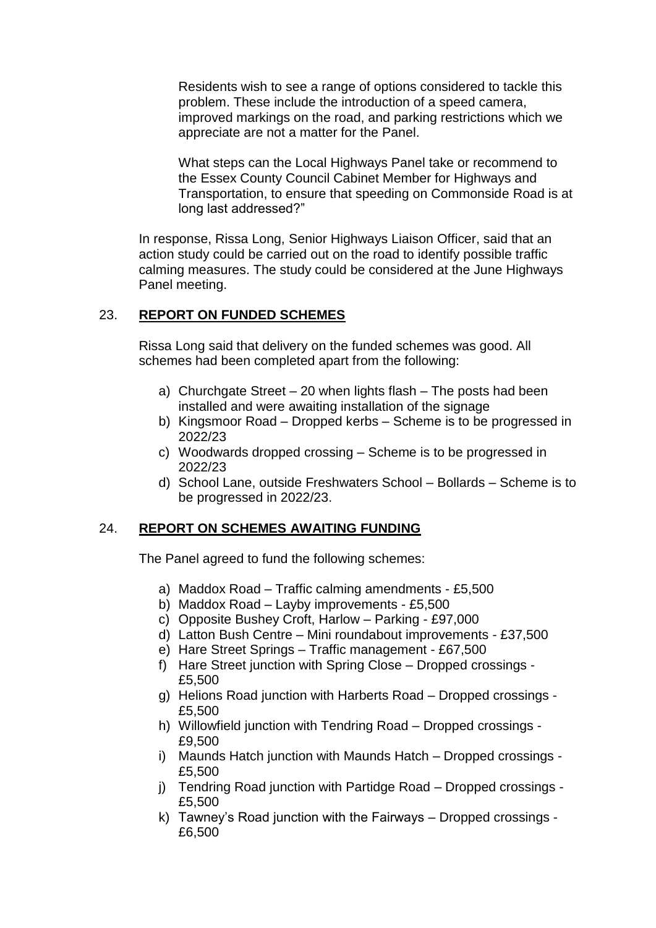Residents wish to see a range of options considered to tackle this problem. These include the introduction of a speed camera, improved markings on the road, and parking restrictions which we appreciate are not a matter for the Panel.

What steps can the Local Highways Panel take or recommend to the Essex County Council Cabinet Member for Highways and Transportation, to ensure that speeding on Commonside Road is at long last addressed?"

In response, Rissa Long, Senior Highways Liaison Officer, said that an action study could be carried out on the road to identify possible traffic calming measures. The study could be considered at the June Highways Panel meeting.

## 23. **REPORT ON FUNDED SCHEMES**

Rissa Long said that delivery on the funded schemes was good. All schemes had been completed apart from the following:

- a) Churchgate Street 20 when lights flash The posts had been installed and were awaiting installation of the signage
- b) Kingsmoor Road Dropped kerbs Scheme is to be progressed in 2022/23
- c) Woodwards dropped crossing Scheme is to be progressed in 2022/23
- d) School Lane, outside Freshwaters School Bollards Scheme is to be progressed in 2022/23.

# 24. **REPORT ON SCHEMES AWAITING FUNDING**

The Panel agreed to fund the following schemes:

- a) Maddox Road Traffic calming amendments £5,500
- b) Maddox Road Layby improvements £5,500
- c) Opposite Bushey Croft, Harlow Parking £97,000
- d) Latton Bush Centre Mini roundabout improvements £37,500
- e) Hare Street Springs Traffic management £67,500
- f) Hare Street junction with Spring Close Dropped crossings £5,500
- g) Helions Road junction with Harberts Road Dropped crossings £5,500
- h) Willowfield junction with Tendring Road Dropped crossings £9,500
- i) Maunds Hatch junction with Maunds Hatch Dropped crossings £5,500
- j) Tendring Road junction with Partidge Road Dropped crossings £5,500
- k) Tawney's Road junction with the Fairways Dropped crossings £6,500